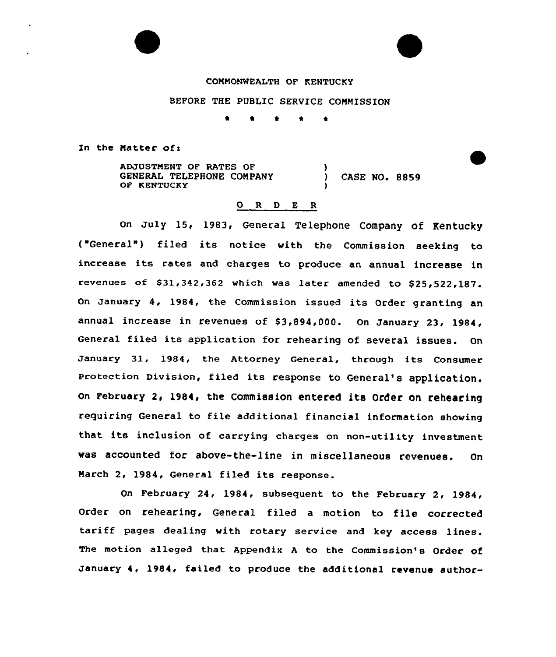#### COMMONWEALTH OF KENTUCKY

# BEFORE THE PUBLIC SERVICE COMMISSION

1 <sup>4</sup> 1 <sup>4</sup> t

In the Matter of:

ADJUSTMENT OF RATES OF GENERAL TELEPHONE COMPANY OF KENTUCKY ) ) CASE NO. 8859 )

# 0 R <sup>D</sup> E <sup>R</sup>

on July 15, 1983, General Telephone Company of Kentucky ("General") filed its notice with the Commission seeking to increase its rates and charges to produce an annual increase in revenues of  $$31,342,362$  which was later amended to  $$25,522,187$ . January 4, 1984, the Commission issued its Order granting <mark>a</mark>n annual increase in revenues of \$3,894,000. On January 23, 1984, General filed its application for rehearing of several issues. On January 31, 1984, the Attorney General, through its Consumer Protection Division, filed its response to General's application. On February 2, 1984, the Commission entered its Order on rehearing requiring General to file additional financial information showing that its inclusion of carrying charges on non-utility investment was accounted for above-the-line in miscellaneous revenues. On March 2, 1984, General filed its response.

On February 24, 1984, subsequent to the February 2, 1984, Order on rehearing, General filed <sup>a</sup> motion to file corrected tariff pages dealing with rotary service and key access lines. The motion alleged that Appendix <sup>A</sup> to the Commission's Order of January 4, 1984, failed to produce the additional revenue author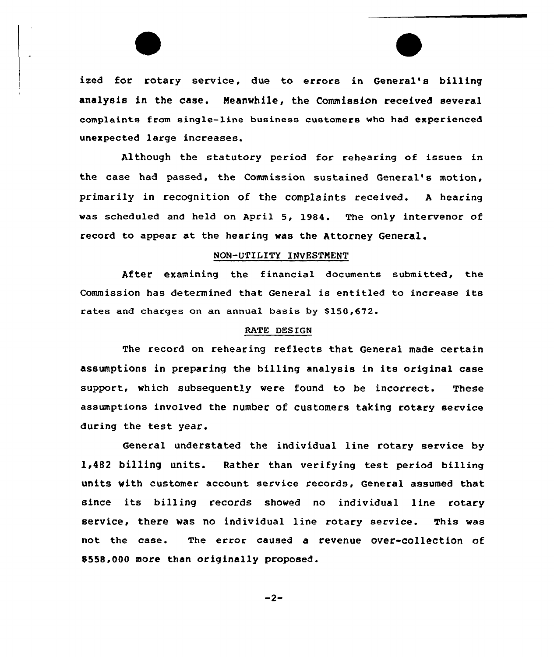ized for rotary service, due to errors in General's billing analysis in the case. Meanwhile, the Commission received several complaints from single-line business customers who had experienced unexpected large increases.

Although the statutory period for rehearing of issues in the case had passed, the Commission sustained General's motion, primarily in recognition of the complaints received. <sup>A</sup> hearing was scheduled and held on April 5, 1984. The only intervenor of record to appear at the hearing was the Attorney General.

# NON-UTILITY INVESTMENT

After examining the financial documents submitted, the Commission has determined that General is entitled to increase its rates and charges on an annual basis by \$150,672.

#### RATE DESIGN

The record on rehearing reflects that General made certain assumptions in preparing the billing analysis in its original case support, which subsequently were found to be incorrect. These assumptions involved the number of customers taking rotary service during the test year.

General understated the individual line rotary service by 1<482 billing units. Rather than verifying test period billing units with customer account service records, General assumed that since its billing records showed no individual line rotary service, there was no individual line rotary service. This was not the case. The error caused a revenue over-collection of 0558,000 more than originally proposed.

 $-2-$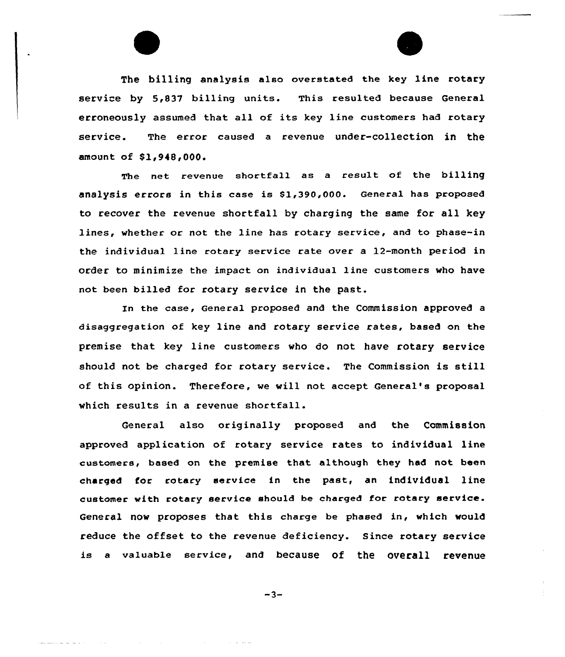

The billing analysis also overstated the key line rotary service by 5,837 billing units. This resulted because General erroneously assumed that all of its key line customers had rotary service. The error caused a revenue under-collection in the amount of \$1,948,000.

The net revenue shortfall as a result of the billing analysis errors in this case is \$1,390,000. General has proposed to recover the revenue shortfall by charging the same for all key lines, vhether or not the line has rotary service, and to phase-in the individual line rotary service rate over a 12-month period in order to minimize the impact on individual line customers who have not been billed for rotary service in the past.

In the case, General proposed and the Commission approved a disaggregation of key line and rotary service rates, based on the premise that key line customers vho do not have rotary service should not be charged for rotary service. The Commission is still of this opinion. Therefore, ve vill not accept General's proposal which results in a revenue shortfall.

General also originally proposed and the Commission approved application of rotary service rates to individual line customers, based on the premise that although they had not been charged for rotary service in the past, an individual line customer with rotary service should be charged for rotary service. General nov proposes that this charge be phased in, which vould reduce the offset to the revenue deficiency. Since rotary service is a valuable service, and because of the overall revenue

 $-3-$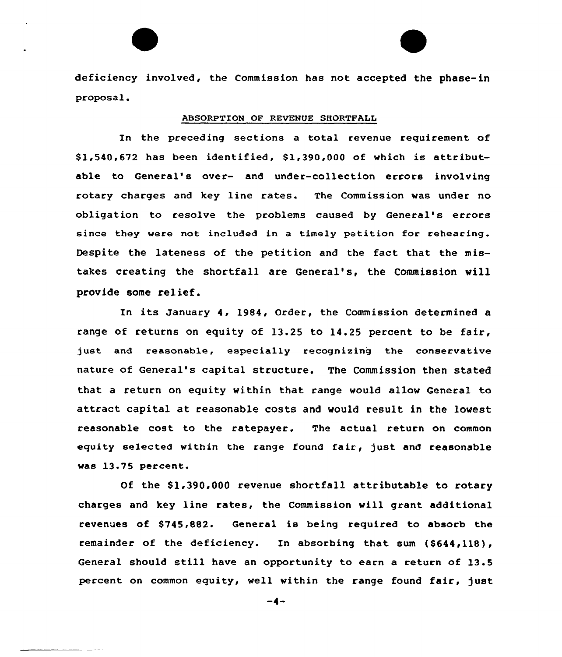deficiency involved, the Commission has not accepted the phase-in proposal.

### ABSORPTION OF REVENUE SHORTFALL

In the preceding sections a total revenue requirement of \$ 1,540,672 has been identified, \$1,390,000 of which is attributable to General's over- and under-collection errors involving rotary charges and key line rates. The Commission was under no obligation to resolve the problems caused by General's errors since they were not included in a timely petition for rehearing. Despite the lateness of the petition and the fact that the mistakes creating the shortfall are General's, the Commission will provide some relief.

In its January 4, 1984, Order, the Commission determined <sup>a</sup> range of returns on equity of 13.25 to 14.25 percent to be fair, just and reasonable, especially recognizing the conservative nature of General's capital structure. The Commission then stated that a return on equity within that range vould allow General to attract capital at reasonable costs and would result in the lowest reasonable cost to the ratepayer. The actual return on common equity selected within the range found fair, just and reasonable was 13.75 percent.

Of the \$1,390,000 revenue shortfall attributable to rotary charges and key line rates, the Commission will grant additional revenues of \$745,882. General is being required to absorb the remainder of the deficiency. In absorbing that sum (\$644,118), General should still have an opportunity to earn <sup>a</sup> return of 13.5 percent on common equity, well within the range found fair, just

 $-4-$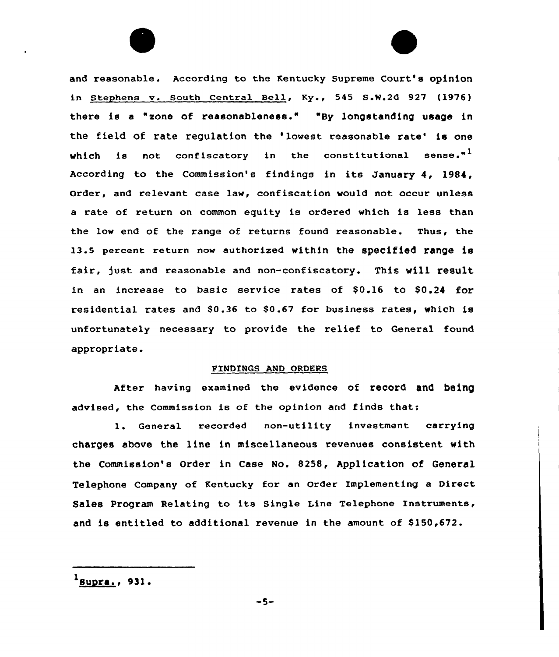and reasonable. According to the Kentucky Supreme Court's opinion in Stephens v. South Central Bell, Ky., 545 S.W.2d 927 (1976) there is a "zone of reasonableness." "By longstanding usage in the field of rate regulation the 'lowest reasonable rate' is one which is not confiscatory in the constitutional sense. $"$ <sup>1</sup> According to the Commission's findings in its January 4, 1984, order, and relevant case law, confiscation would not occur unless a rate of return on common equity is ordered which is less than the low end of the range of returns found reasonable. Thus, the 13.5 percent return now authorized within the specified range is fair, just and reasonable and non-confiscatory. This will result in an increase to basic service rates of \$0.16 to \$0.24 for residential rates and 80»36 to \$0.67 for business rates, which is unfortunately necessary to provide the relief to General found appropriate.

#### FINDINGS AND ORDERS

After having examined the evidence of record and being advised, the Commission is of the opinion and finds that:

l. General recorded non-utility investment carrying charges above the line in miscellaneous revenues consistent with the Commission's Order in Case No. 8258, Application of General Telephone Company of Kentucky for an Order Implementing a Direct Sales Program Relating to its Single Line Telephone Instruments, and is entitled to additional revenue in the amount of \$150,672.

 $<sup>1</sup>$  Bupra., 931.</sup>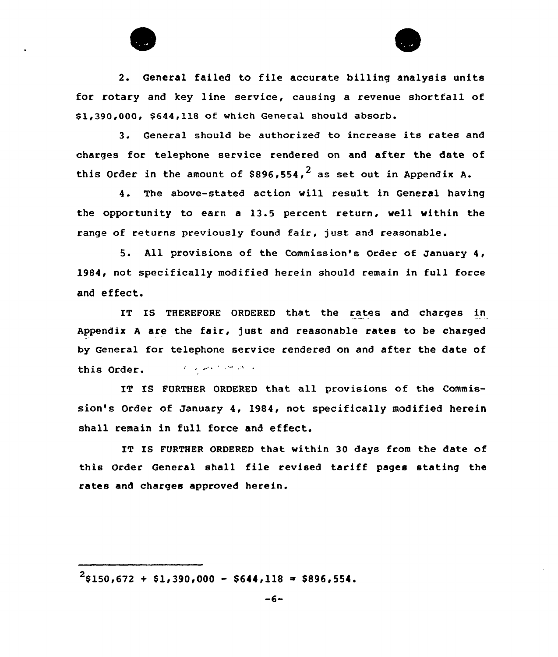

2. General failed to file accurate billing analysis units for rotary and key line service, causing a revenue shortfall of Sl,390,000, 8644,118 of which General should absorb.

3. General should be authorized to increase its rates and charges for telephone service rendered on and after the date of this Order in the amount of \$896,554,<sup>2</sup> as set out in Appendix A.

4. The above-stated action will result in General having the opportunity to earn <sup>a</sup> 13.5 percent return, well within the range of returns previously found fair, just end reasonable.

5. All provisions of the Commission's Order of January 4, 1984, not specifically modified herein should remain in full force and effect.

IT IS THEREFORE ORDERED that the rates end charges in Appendix A are the fair, just and reasonable rates to be charged by General for telephone service rendered on and after the date of المراتيك المتنازع المتعاطي الرازاني this Order.

IT IS FURTHER ORDERED that ell provisions of the Commission's Order of January 4, 1984, not specifically modified herein shall remain in full force and effect.

IT IS FURTHER ORDERED that within 30 days from the date of this Order General shall file revised tariff pages stating the rates and charges approved herein.

 $2$ \$150,672 + \$1,390,000 - \$644,118 = \$896,554.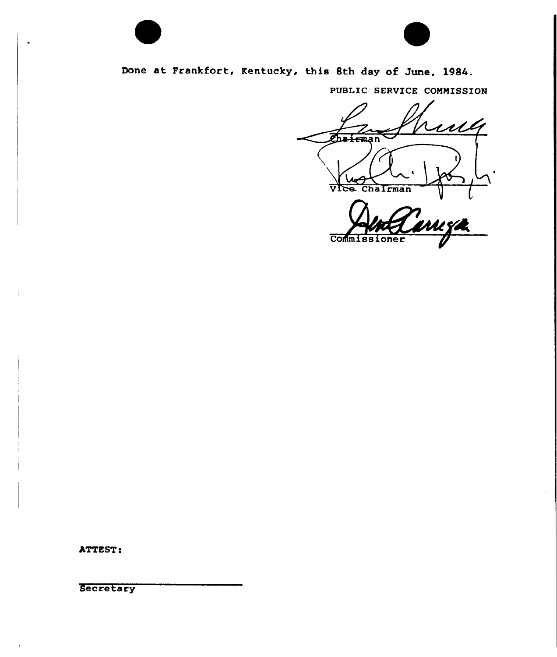

Done at Frankfort, Kentucky, this 8th day of June, 1984.

PUBLIC SERVICE COMMISSION

ruh Chairman  $\sqrt{V}$ ce. Chairman

Commissioner

ATTEST:

**Secretary**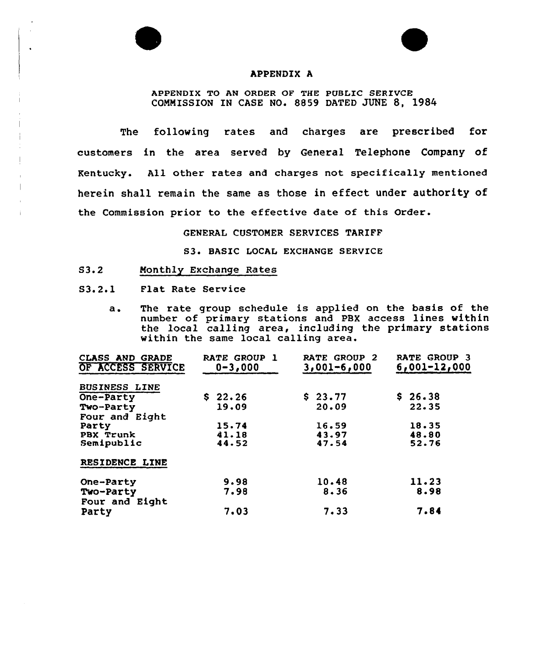

## APPENDIX A

APPENDIX TO AN ORDER OF THE PUBLIC SERIVCE COMMISSION IN CASE NO. 8859 DATED JUNE 8, 1984

The following rates and charges are prescribed for customers in the area served by General Telephone Company of Kentucky. All other rates and charges not specifically mentioned herein shall remain the same as those in effect under authority of the Commission prior to the effective date of this Order.

#### GENERAL CUSTOMER SERVICES TARIFF

S3. BASIC LOCAL EXCHANGE SERVICE

- S3.2 Monthly Exchange Rates
- S3.2.1 Plat Rate Service
	- a. The rate group schedule is applied on the basis of the number of primary stations and PBX access lines within the local calling area, including the primary stations within the same local calling area.

| <b>CLASS AND GRADE</b><br>OF ACCESS SERVICE | RATE GROUP 1<br>$0 - 3,000$ | <b>RATE GROUP 2</b><br>$3,001 - 6,000$ | RATE GROUP 3<br>$6,001-12,000$ |
|---------------------------------------------|-----------------------------|----------------------------------------|--------------------------------|
| <b>BUSINESS LINE</b>                        |                             |                                        |                                |
| One-Party                                   | \$22.26                     | \$23.77                                | \$26.38                        |
| Two-Party                                   | 19.09                       | 20.09                                  | 22.35                          |
| Four and Eight                              |                             |                                        |                                |
| Party                                       | 15.74                       | 16.59                                  | 18.35                          |
| PBX Trunk                                   | 41.18                       | 43.97                                  | 48.80                          |
| Semipublic                                  | 44.52                       | 47.54                                  | 52.76                          |
| RESIDENCE LINE                              |                             |                                        |                                |
| One-Party                                   | 9.98                        | 10.48                                  | 11.23                          |
| Two-Party                                   | 7.98                        | 8.36                                   | 8.98                           |
| Four and Eight<br>Party                     | 7.03                        | 7.33                                   | 7.84                           |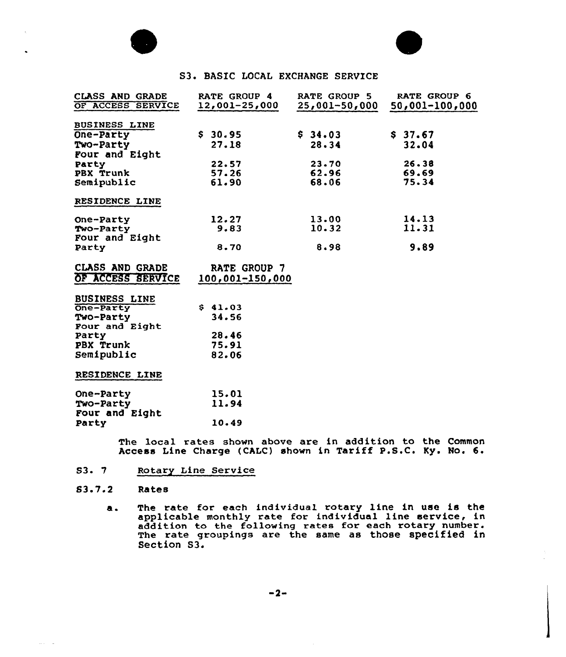



# S3. BASIC LOCAL EXCHANGE SERVICE

| <b>CLASS AND GRADE</b><br>OF ACCESS SERVICE                      | <b>RATE GROUP 4</b><br>$12,001-25,000$ | RATE GROUP 5<br>$25,001 - 50,000$ | RATE GROUP 6<br>$50,001 - 100,000$ |
|------------------------------------------------------------------|----------------------------------------|-----------------------------------|------------------------------------|
| BUSINESS LINE<br>One-Party<br>Two-Party<br>Four and Eight        | \$30.95<br>27.18                       | \$34.03<br>28.34                  | \$37.67<br>32.04                   |
| Party<br>PBX Trunk<br>Semipublic                                 | 22.57<br>57.26<br>61.90                | 23.70<br>62.96<br>68.06           | 26.38<br>69.69<br>75.34            |
| RESIDENCE LINE                                                   |                                        |                                   |                                    |
| One-Party<br>Two-Party<br>Four and Eight                         | 12.27<br>9.83                          | 13.00<br>10.32                    | 14.13<br>11.31                     |
| Party                                                            | 8.70                                   | 8.98                              | 9.89                               |
| <b>CLASS AND GRADE</b><br>OF ACCESS SERVICE                      | RATE GROUP 7<br>100,001-150,000        |                                   |                                    |
| <b>BUSINESS LINE</b><br>One-Party<br>Two-Party<br>Four and Eight | \$41.03<br>34.56                       |                                   |                                    |
| Party<br>PBX Trunk<br>Semipublic                                 | 28.46<br>75.91<br>82.06                |                                   |                                    |
| RESIDENCE LINE                                                   |                                        |                                   |                                    |
| One-Party<br>Two-Party<br>Four and Eight                         | 15.01<br>11.94                         |                                   |                                    |
| Party                                                            | 10.49                                  |                                   |                                    |

The local rates shown above are in addition to the Common Access Line Charge (CALC) shown in Tariff P.S.C. Ky. No. 6.

S3- 7 Rotary Line Service

#### $83.7.2$ Rates

 $\sim 10^{-1}$  .

as The rate for each individua1 rotary line in use is the applicable monthly rate for individual line service, in applicable monthly rate for individual line service, in addition to the following rates for each rotary number. addition to the forrowing rates for each rocally humber. Section S3.